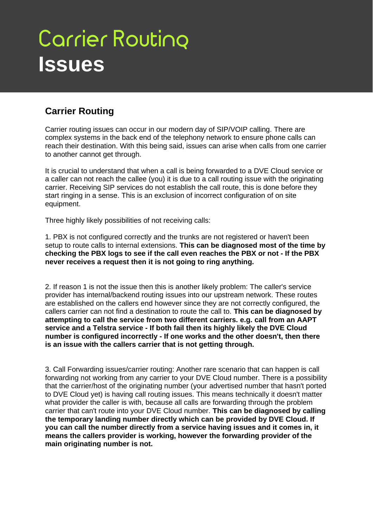## **Carrier Routing Issues**

## **Carrier Routing**

Carrier routing issues can occur in our modern day of SIP/VOIP calling. There are complex systems in the back end of the telephony network to ensure phone calls can reach their destination. With this being said, issues can arise when calls from one carrier to another cannot get through.

It is crucial to understand that when a call is being forwarded to a DVE Cloud service or a caller can not reach the callee (you) it is due to a call routing issue with the originating carrier. Receiving SIP services do not establish the call route, this is done before they start ringing in a sense. This is an exclusion of incorrect configuration of on site equipment.

Three highly likely possibilities of not receiving calls:

1. PBX is not configured correctly and the trunks are not registered or haven't been setup to route calls to internal extensions. **This can be diagnosed most of the time by checking the PBX logs to see if the call even reaches the PBX or not - If the PBX never receives a request then it is not going to ring anything.**

2. If reason 1 is not the issue then this is another likely problem: The caller's service provider has internal/backend routing issues into our upstream network. These routes are established on the callers end however since they are not correctly configured, the callers carrier can not find a destination to route the call to. **This can be diagnosed by attempting to call the service from two different carriers. e.g. call from an AAPT service and a Telstra service - If both fail then its highly likely the DVE Cloud number is configured incorrectly - If one works and the other doesn't, then there is an issue with the callers carrier that is not getting through.**

3. Call Forwarding issues/carrier routing: Another rare scenario that can happen is call forwarding not working from any carrier to your DVE Cloud number. There is a possibility that the carrier/host of the originating number (your advertised number that hasn't ported to DVE Cloud yet) is having call routing issues. This means technically it doesn't matter what provider the caller is with, because all calls are forwarding through the problem carrier that can't route into your DVE Cloud number. **This can be diagnosed by calling the temporary landing number directly which can be provided by DVE Cloud. If you can call the number directly from a service having issues and it comes in, it means the callers provider is working, however the forwarding provider of the main originating number is not.**